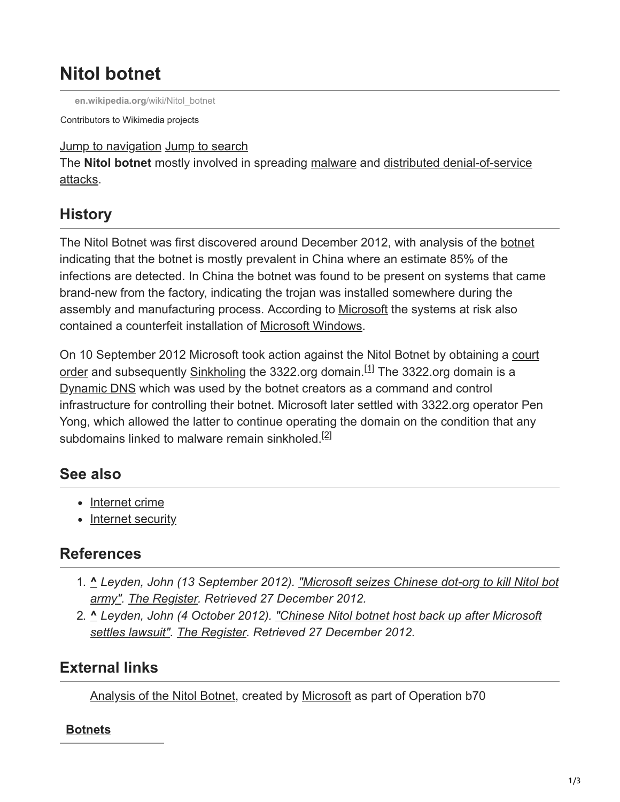# **Nitol botnet**

**[en.wikipedia.org](https://en.wikipedia.org/wiki/Nitol_botnet)**/wiki/Nitol\_botnet

Contributors to Wikimedia projects

Jump to navigation Jump to search

The **Nitol botnet** [mostly involved in spreading malware and distributed denial-of-service](https://en.wikipedia.org/wiki/Ddos#Distributed_attack) attacks.

# **History**

The Nitol Botnet was first discovered around December 2012, with analysis of the [botnet](https://en.wikipedia.org/wiki/Botnet) indicating that the botnet is mostly prevalent in China where an estimate 85% of the infections are detected. In China the botnet was found to be present on systems that came brand-new from the factory, indicating the trojan was installed somewhere during the assembly and manufacturing process. According to [Microsoft](https://en.wikipedia.org/wiki/Microsoft) the systems at risk also contained a counterfeit installation of [Microsoft Windows.](https://en.wikipedia.org/wiki/Microsoft_Windows)

[On 10 September 2012 Microsoft took action against the Nitol Botnet by obtaining a court](https://en.wikipedia.org/wiki/Court_order) order and subsequently [Sinkholing](https://en.wikipedia.org/wiki/Denial-of-service_attack#Blackholing_and_sinkholing) the 3322.org domain.<sup>[1]</sup> The 3322.org domain is a [Dynamic DNS](https://en.wikipedia.org/wiki/Dynamic_DNS) which was used by the botnet creators as a command and control infrastructure for controlling their botnet. Microsoft later settled with 3322.org operator Pen Yong, which allowed the latter to continue operating the domain on the condition that any subdomains linked to malware remain sinkholed.<sup>[2]</sup>

### **See also**

- [Internet crime](https://en.wikipedia.org/wiki/Internet_crime)
- [Internet security](https://en.wikipedia.org/wiki/Internet_security)

### **References**

- 1. **^** *[Leyden, John \(13 September 2012\). "Microsoft seizes Chinese dot-org to kill Nitol bot](https://www.theregister.co.uk/2012/09/13/botnet_takedown/) army". [The Register](https://en.wikipedia.org/wiki/The_Register). Retrieved 27 December 2012.*
- 2. **^** *[Leyden, John \(4 October 2012\). "Chinese Nitol botnet host back up after Microsoft](https://www.theregister.co.uk/2012/10/04/nitol_botnet_settlement/) settles lawsuit". [The Register](https://en.wikipedia.org/wiki/The_Register). Retrieved 27 December 2012.*

# **External links**

[Analysis of the Nitol Botnet](https://web.archive.org/web/20130113130129/http://blogs.technet.com/cfs-filesystemfile.ashx/__key/communityserver-blogs-components-weblogfiles/00-00-00-80-54/3755.Microsoft-Study-into-b70.pdf), created by [Microsoft](https://en.wikipedia.org/wiki/Microsoft) as part of Operation b70

#### **[Botnets](https://en.wikipedia.org/wiki/Botnet)**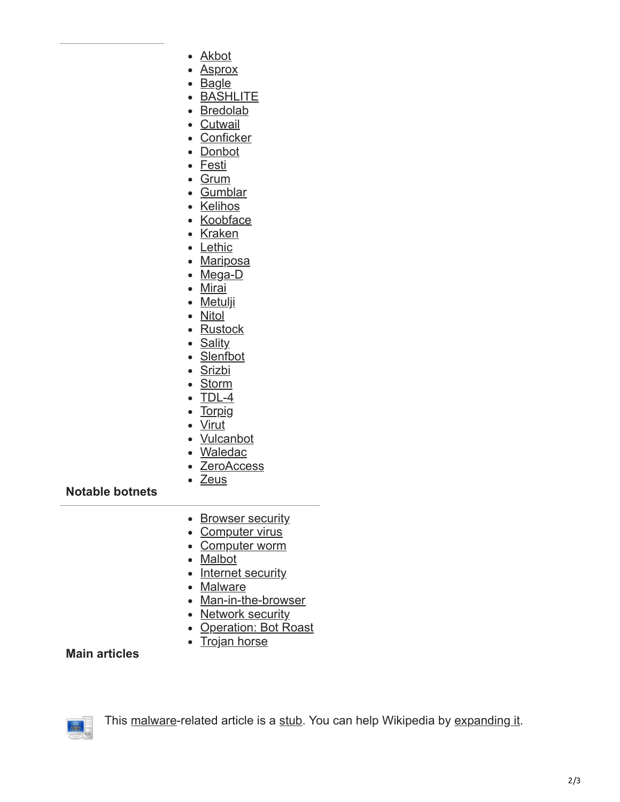- [Akbot](https://en.wikipedia.org/wiki/Akbot)
- [Asprox](https://en.wikipedia.org/wiki/Asprox_botnet)
- [Bagle](https://en.wikipedia.org/wiki/Bagle_(computer_worm))
- [BASHLITE](https://en.wikipedia.org/wiki/BASHLITE)
- [Bredolab](https://en.wikipedia.org/wiki/Bredolab_botnet)
- [Cutwail](https://en.wikipedia.org/wiki/Cutwail_botnet)
- [Conficker](https://en.wikipedia.org/wiki/Conficker)
- [Donbot](https://en.wikipedia.org/wiki/Donbot_botnet)
- [Festi](https://en.wikipedia.org/wiki/Festi_botnet)
- [Grum](https://en.wikipedia.org/wiki/Grum_botnet)
- [Gumblar](https://en.wikipedia.org/wiki/Gumblar)
- [Kelihos](https://en.wikipedia.org/wiki/Kelihos_botnet)
- [Koobface](https://en.wikipedia.org/wiki/Koobface)
- [Kraken](https://en.wikipedia.org/wiki/Kraken_botnet)
- [Lethic](https://en.wikipedia.org/wiki/Lethic_botnet)
- [Mariposa](https://en.wikipedia.org/wiki/Mariposa_botnet)
- [Mega-D](https://en.wikipedia.org/wiki/Mega-D_botnet)
- [Mirai](https://en.wikipedia.org/wiki/Mirai_(malware))
- [Metulji](https://en.wikipedia.org/wiki/Metulji_botnet)
- Nitol
- [Rustock](https://en.wikipedia.org/wiki/Rustock_botnet)
- [Sality](https://en.wikipedia.org/wiki/Sality)
- [Slenfbot](https://en.wikipedia.org/wiki/Slenfbot)
- [Srizbi](https://en.wikipedia.org/wiki/Srizbi_botnet)
- [Storm](https://en.wikipedia.org/wiki/Storm_botnet)
- $\bullet$  [TDL-4](https://en.wikipedia.org/wiki/TDL-4)
- [Torpig](https://en.wikipedia.org/wiki/Torpig)
- [Virut](https://en.wikipedia.org/wiki/Virut)
- [Vulcanbot](https://en.wikipedia.org/wiki/Vulcanbot)
- [Waledac](https://en.wikipedia.org/wiki/Waledac_botnet)
- [ZeroAccess](https://en.wikipedia.org/wiki/ZeroAccess_botnet)

#### • [Zeus](https://en.wikipedia.org/wiki/Zeus_(malware))

#### **Notable botnets**

- [Browser security](https://en.wikipedia.org/wiki/Browser_security)
- [Computer virus](https://en.wikipedia.org/wiki/Computer_virus)
- [Computer worm](https://en.wikipedia.org/wiki/Computer_worm)
- [Malbot](https://en.wikipedia.org/wiki/Internet_bot#Malicious_purposes)
- [Internet security](https://en.wikipedia.org/wiki/Internet_security)
- [Malware](https://en.wikipedia.org/wiki/Malware)
- [Man-in-the-browser](https://en.wikipedia.org/wiki/Man-in-the-browser)
- [Network security](https://en.wikipedia.org/wiki/Network_security)
- [Operation: Bot Roast](https://en.wikipedia.org/wiki/Operation:_Bot_Roast)
- [Trojan horse](https://en.wikipedia.org/wiki/Trojan_horse_(computing))

#### **Main articles**



This [malware-](https://en.wikipedia.org/wiki/Malware)related article is a [stub](https://en.wikipedia.org/wiki/Wikipedia:Stub). You can help Wikipedia by [expanding it.](https://en.wikipedia.org/w/index.php?title=Nitol_botnet&action=edit)